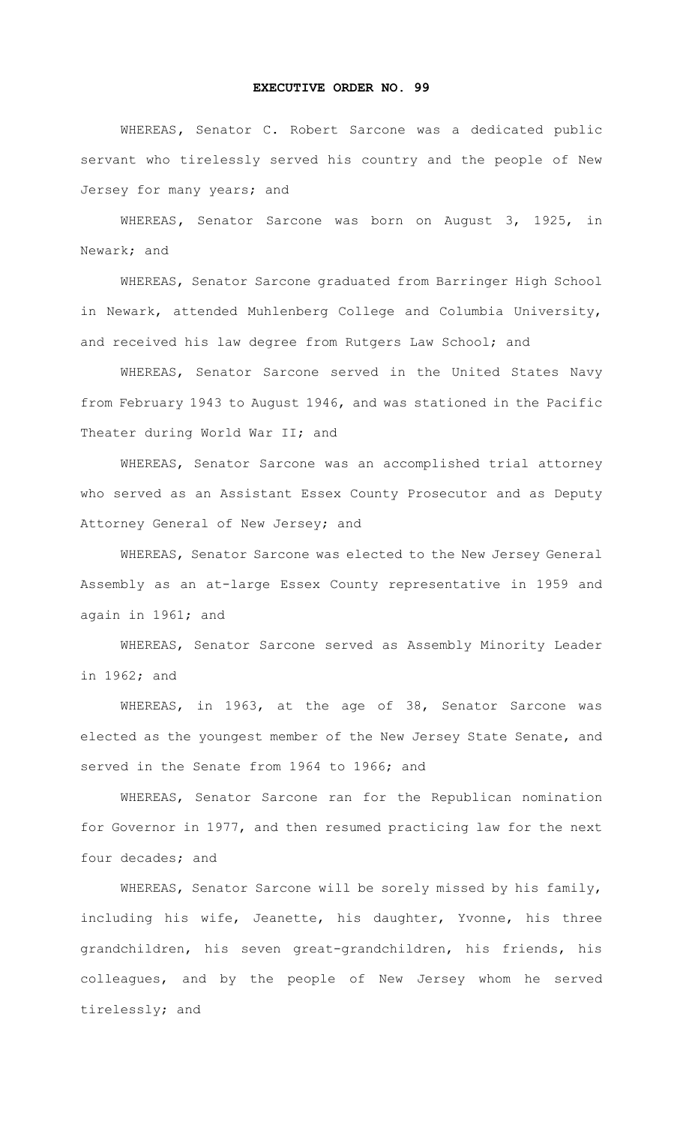## **EXECUTIVE ORDER NO. 99**

 WHEREAS**,** Senator C. Robert Sarcone was a dedicated public servant who tirelessly served his country and the people of New Jersey for many years; and

WHEREAS**,** Senator Sarcone was born on August 3, 1925, in Newark; and

WHEREAS, Senator Sarcone graduated from Barringer High School in Newark, attended Muhlenberg College and Columbia University, and received his law degree from Rutgers Law School; and

WHEREAS, Senator Sarcone served in the United States Navy from February 1943 to August 1946, and was stationed in the Pacific Theater during World War II; and

WHEREAS, Senator Sarcone was an accomplished trial attorney who served as an Assistant Essex County Prosecutor and as Deputy Attorney General of New Jersey; and

WHEREAS, Senator Sarcone was elected to the New Jersey General Assembly as an at-large Essex County representative in 1959 and again in 1961; and

WHEREAS, Senator Sarcone served as Assembly Minority Leader in 1962; and

WHEREAS, in 1963, at the age of 38, Senator Sarcone was elected as the youngest member of the New Jersey State Senate, and served in the Senate from 1964 to 1966; and

WHEREAS, Senator Sarcone ran for the Republican nomination for Governor in 1977, and then resumed practicing law for the next four decades; and

WHEREAS, Senator Sarcone will be sorely missed by his family, including his wife, Jeanette, his daughter, Yvonne, his three grandchildren, his seven great-grandchildren, his friends, his colleagues, and by the people of New Jersey whom he served tirelessly; and